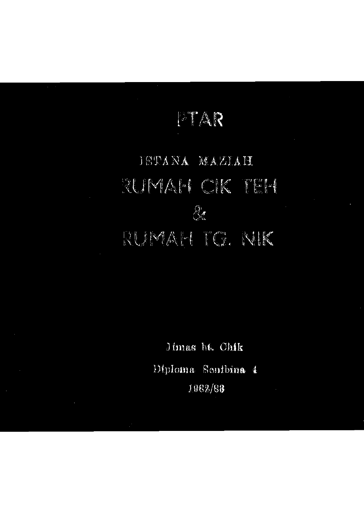## PTAR

## TSTANA MAZIAH RUMAM CK TEM 8 RUMAH TO. NIK

Jimas bt. Chik Diploma Senibina 4 1962/83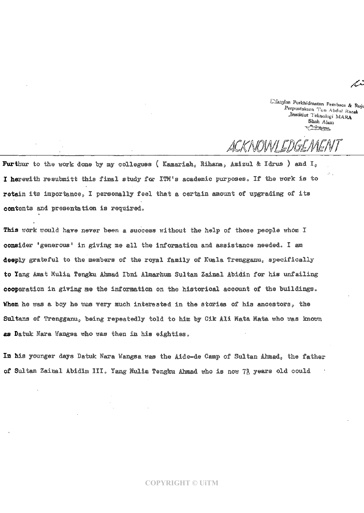Cafa Perkhidmatan Pembaca & Rujuk. Perpustakaan Tun Abdul Razak Jastitiut Teknologi MARA Shah Alam<br>T<sup>a</sup>nkungun

*ACKNm/Lmmm* 

Furthur to the work done by my collegues (Kamariah, Rihana, Azizul & Idrus ) and I<sub>o</sub> I herewith resubmitt this final study for ITM's academic purposes. If the work is to retain its importance, I personally feel that a certain amount of upgrading of its contents and presentation is required.

This work would have never been a success without the help of those people whom I consider 'generous' in giving me all the information and assistance needed. I am deeply grateful to the members of the royal family of Kuala Trengganu, specifically to Yang Amat Mulia Tengku Ahmad Ibni Almarhum Sultan Zainal Abidin for his unfailing cooperation in giving me the information on the historical account of the buildings. When he was a boy he was very much interested in the stories of his ancestors, the Sultans of Trengganu, being repeatedly told to him by Cik Ali Mata Mata who was known as Datuk Nara Wangsa who was then in his eighties.

In his younger days Datuk Nara Wangsa was the Aide-de Camp of Sultan Ahmad, the father of Sultan Zainal Abidin III» Yamg lulia Tengku Ahmad who is now 7| years old could

## **COPYRIGHT © UiTM**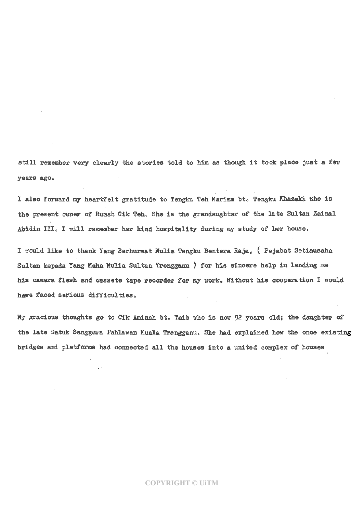still remember very clearly the stories told to him as though it took place just a few years ago.

I also forward my heartfelt gratitude to Tengku Teh Mariam bt. Tengku Khazaki who is the present owner of Rumah Cik Teh. She is the grandaughter of the late Sultan Zainal Abidin III. I will remember her kind hospitality during my study of her house.

I would like to thank Yang Berhurmat Mulia Tengku Bentara Raja, ( Pejabat Setiausaha Sultan kepada Yang Maha Mulia Sultan Trengganu ) for his sincere help in lending me his camera flesh and cassete tape recorder for my nork. Without his cooperation I would høve faced serious difficulties.

My gracioxis thoughts go to Cik Aminah bt» Taib who is now 92 years old; the daughter of the late Datuk Sanggura Pahlawan Kuala Trengganu. She had explained how the once existing bridges and platforms had connected all the houses into a united complex of houses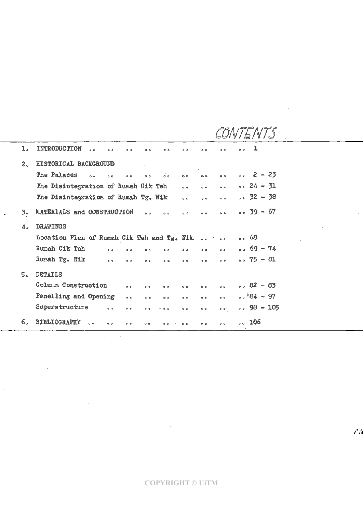| ı.             | INTRODUCTION<br>$\sim$ $\sim$<br>$\ddot{\circ}$<br>0 <sub>0</sub><br>0 <sub>0</sub><br>0 <sub>0</sub> | $^{\circ}$      | $^{\circ}$          | 0 <sup>o</sup>    | ı<br>$\circ$ $\circ$  |
|----------------|-------------------------------------------------------------------------------------------------------|-----------------|---------------------|-------------------|-----------------------|
| 2 <sub>o</sub> | HISTORICAL BACKGROUND                                                                                 |                 |                     |                   |                       |
|                | The Palaces<br>$\sim$<br>$\circ$ $\circ$<br>0 <sup>o</sup><br>$\circ$ $\circ$<br>0 <sub>0</sub>       | $\circ$         | $\circ \circ$       | $\circ$           | $\degree$ 2 – 23      |
|                | The Disintegration of Rumah Cik Teh                                                                   | 0a              | $\alpha$ $\alpha$   | 0 <sup>o</sup>    | $\circ \circ 24 - 31$ |
|                | The Disintegration of Rumah Tg. Nik                                                                   | $\circ$ $\circ$ | 0.9                 | $\circ$ $\circ$   | $\degree$ 32 - 38     |
| 3.             | MATERIALS and CONSTRUCTION<br>0 <sub>0</sub><br>0 <sub>0</sub>                                        | 0 <sup>0</sup>  | 0 <sup>o</sup>      | 0.9 <sup>o</sup>  | $0.59 - 67$           |
| 4.             | <b>DRAWINGS</b>                                                                                       |                 |                     |                   |                       |
|                | Location Plan of Rumah Cik Teh and Tg. Nik                                                            |                 | $\bullet$ $\bullet$ | $\circ$ $\circ$   | 。68                   |
|                | Rumah Cik Teh<br>0 <sup>o</sup><br>0 <sub>0</sub><br>0 <sub>0</sub><br>$\circ$                        | 0 <sub>0</sub>  | 0 <sup>o</sup>      | $\sigma$ $\sigma$ | $0.69 - 74$           |
|                | Rumah Tg. Nik<br>0 <sub>0</sub><br>0 <sub>0</sub><br>$\circ$ $\circ$<br>$\circ$ $\circ$               | 0 <sup>0</sup>  | 0 <sup>0</sup>      | $\circ$ $\circ$   | $0.75 - 81$           |
| 5 <sub>o</sub> | DETAILS                                                                                               |                 |                     |                   |                       |
|                | Column Construction<br>0 <sub>0</sub><br>$\theta$ o<br>$^{\circ}$                                     | 0 <sub>o</sub>  | $\circ$ $\circ$     | $\circ$ $\circ$   | $0.82 - 83$           |
|                | Panelling and Opening<br>$\phi$ $\phi$<br>$\circ$ $\circ$<br>$\circ$ $\circ$                          | $\circ$ $\circ$ | 0 <sub>0</sub>      | 0.0               | $\cdot \cdot 84 - 97$ |
|                | Superstructure<br>0 <sup>o</sup><br>$^{\circ}$<br>$\bullet$ $\circ$<br>↘<br>0 <sub>0</sub>            | O <sub>0</sub>  | $\bullet$ $\circ$   | $\circ$ $\circ$   | $0.05 - 98 - 105$     |
| б.             | <b>BIBLIOGRAPHY</b><br>0 <sup>o</sup><br>$\circ$<br>0 <sup>0</sup><br>$^{\circ}$<br>0 <sub>0</sub>    | 0 <sub>0</sub>  | 0 <sub>0</sub>      | 0 <sub>0</sub>    | $\sim 106$            |

 $\mathcal{A}_{\mathcal{A}}$  and  $\mathcal{A}_{\mathcal{A}}$ 

 $\bar{z}$ 

 $\ell$ h